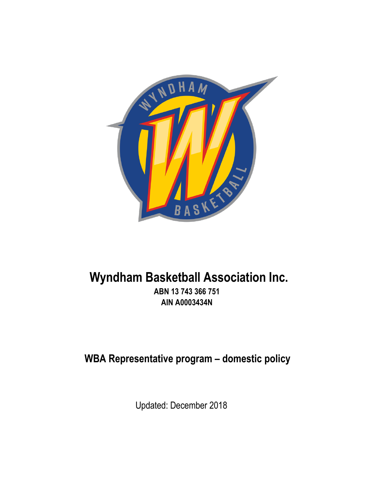

# **Wyndham Basketball Association Inc.**

**ABN 13 743 366 751 AIN A0003434N**

**WBA Representative program – domestic policy**

Updated: December 2018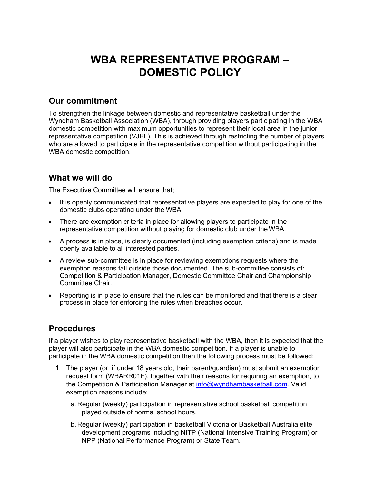## **WBA REPRESENTATIVE PROGRAM – DOMESTIC POLICY**

#### **Our commitment**

To strengthen the linkage between domestic and representative basketball under the Wyndham Basketball Association (WBA), through providing players participating in the WBA domestic competition with maximum opportunities to represent their local area in the junior representative competition (VJBL). This is achieved through restricting the number of players who are allowed to participate in the representative competition without participating in the WBA domestic competition.

### **What we will do**

The Executive Committee will ensure that;

- It is openly communicated that representative players are expected to play for one of the domestic clubs operating under the WBA.
- There are exemption criteria in place for allowing players to participate in the representative competition without playing for domestic club under the WBA.
- A process is in place, is clearly documented (including exemption criteria) and is made openly available to all interested parties.
- A review sub-committee is in place for reviewing exemptions requests where the exemption reasons fall outside those documented. The sub-committee consists of: Competition & Participation Manager, Domestic Committee Chair and Championship Committee Chair.
- Reporting is in place to ensure that the rules can be monitored and that there is a clear process in place for enforcing the rules when breaches occur.

#### **Procedures**

If a player wishes to play representative basketball with the WBA, then it is expected that the player will also participate in the WBA domestic competition. If a player is unable to participate in the WBA domestic competition then the following process must be followed:

- 1. The player (or, if under 18 years old, their parent/guardian) must submit an exemption request form (WBARR01F), together with their reasons for requiring an exemption, to the Competition & Participation Manager at info@wyndhambasketball.com. Valid exemption reasons include:
	- a.Regular (weekly) participation in representative school basketball competition played outside of normal school hours.
	- b.Regular (weekly) participation in basketball Victoria or Basketball Australia elite development programs including NITP (National Intensive Training Program) or NPP (National Performance Program) or State Team.